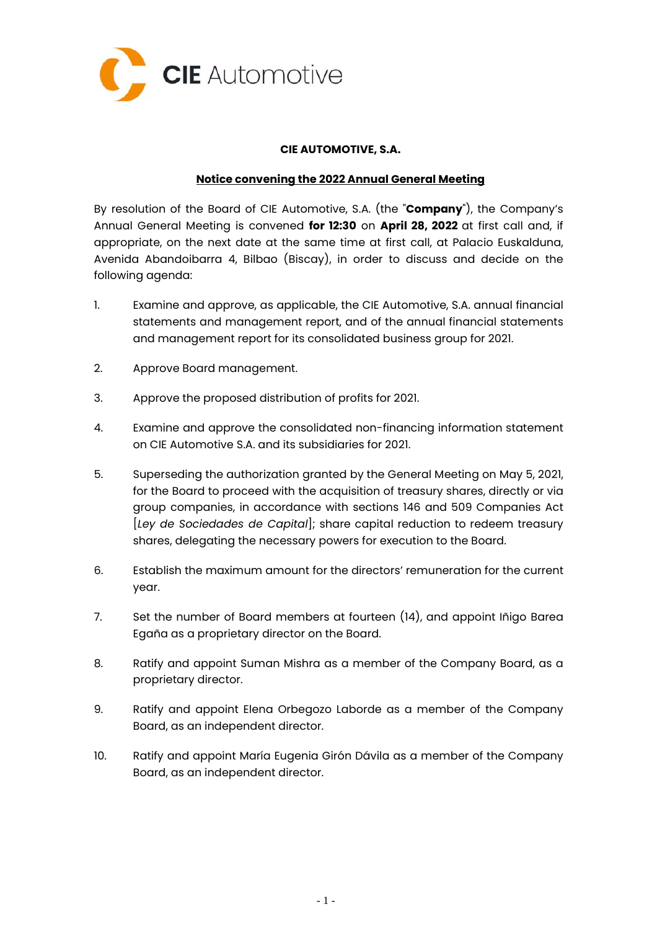

## **CIE AUTOMOTIVE, S.A.**

## **Notice convening the 2022 Annual General Meeting**

By resolution of the Board of CIE Automotive, S.A. (the "**Company**"), the Company's Annual General Meeting is convened **for 12:30** on **April 28, 2022** at first call and, if appropriate, on the next date at the same time at first call, at Palacio Euskalduna, Avenida Abandoibarra 4, Bilbao (Biscay), in order to discuss and decide on the following agenda:

- 1. Examine and approve, as applicable, the CIE Automotive, S.A. annual financial statements and management report, and of the annual financial statements and management report for its consolidated business group for 2021.
- 2. Approve Board management.
- 3. Approve the proposed distribution of profits for 2021.
- 4. Examine and approve the consolidated non-financing information statement on CIE Automotive S.A. and its subsidiaries for 2021.
- 5. Superseding the authorization granted by the General Meeting on May 5, 2021, for the Board to proceed with the acquisition of treasury shares, directly or via group companies, in accordance with sections 146 and 509 Companies Act [*Ley de Sociedades de Capital*]; share capital reduction to redeem treasury shares, delegating the necessary powers for execution to the Board.
- 6. Establish the maximum amount for the directors' remuneration for the current year.
- 7. Set the number of Board members at fourteen (14), and appoint Iñigo Barea Egaña as a proprietary director on the Board.
- 8. Ratify and appoint Suman Mishra as a member of the Company Board, as a proprietary director.
- 9. Ratify and appoint Elena Orbegozo Laborde as a member of the Company Board, as an independent director.
- 10. Ratify and appoint María Eugenia Girón Dávila as a member of the Company Board, as an independent director.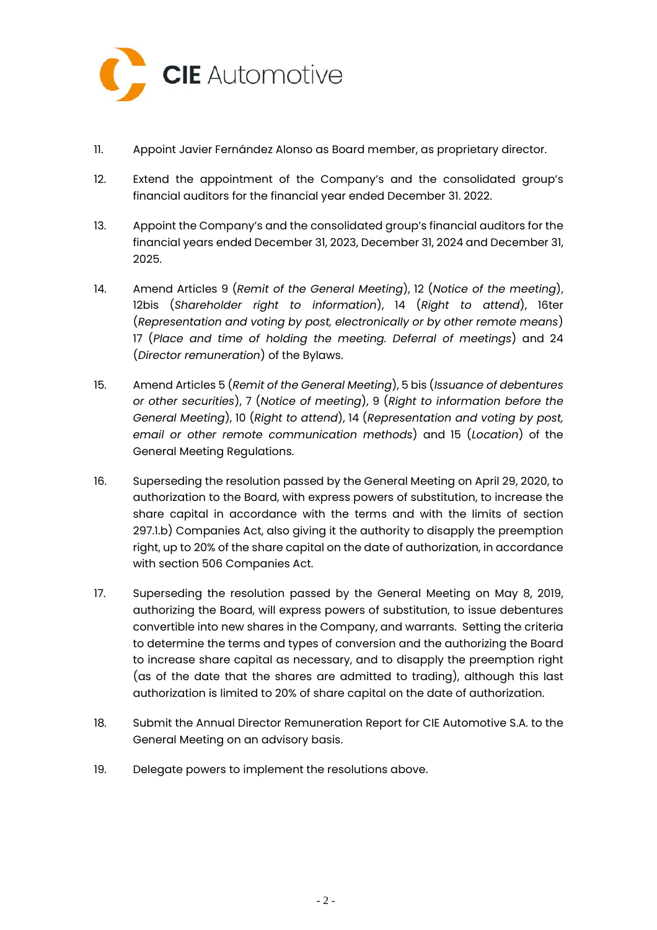

- 11. Appoint Javier Fernández Alonso as Board member, as proprietary director.
- 12. Extend the appointment of the Company's and the consolidated group's financial auditors for the financial year ended December 31. 2022.
- 13. Appoint the Company's and the consolidated group's financial auditors for the financial years ended December 31, 2023, December 31, 2024 and December 31, 2025.
- 14. Amend Articles 9 (*Remit of the General Meeting*), 12 (*Notice of the meeting*), 12bis (*Shareholder right to information*), 14 (*Right to attend*), 16ter (*Representation and voting by post, electronically or by other remote means*) 17 (*Place and time of holding the meeting. Deferral of meetings*) and 24 (*Director remuneration*) of the Bylaws.
- 15. Amend Articles 5 (*Remit of the General Meeting*), 5 bis (*Issuance of debentures or other securities*), 7 (*Notice of meeting*), 9 (*Right to information before the General Meeting*), 10 (*Right to attend*), 14 (*Representation and voting by post, email or other remote communication methods*) and 15 (*Location*) of the General Meeting Regulations.
- 16. Superseding the resolution passed by the General Meeting on April 29, 2020, to authorization to the Board, with express powers of substitution, to increase the share capital in accordance with the terms and with the limits of section 297.1.b) Companies Act, also giving it the authority to disapply the preemption right, up to 20% of the share capital on the date of authorization, in accordance with section 506 Companies Act.
- 17. Superseding the resolution passed by the General Meeting on May 8, 2019, authorizing the Board, will express powers of substitution, to issue debentures convertible into new shares in the Company, and warrants. Setting the criteria to determine the terms and types of conversion and the authorizing the Board to increase share capital as necessary, and to disapply the preemption right (as of the date that the shares are admitted to trading), although this last authorization is limited to 20% of share capital on the date of authorization.
- 18. Submit the Annual Director Remuneration Report for CIE Automotive S.A. to the General Meeting on an advisory basis.
- 19. Delegate powers to implement the resolutions above.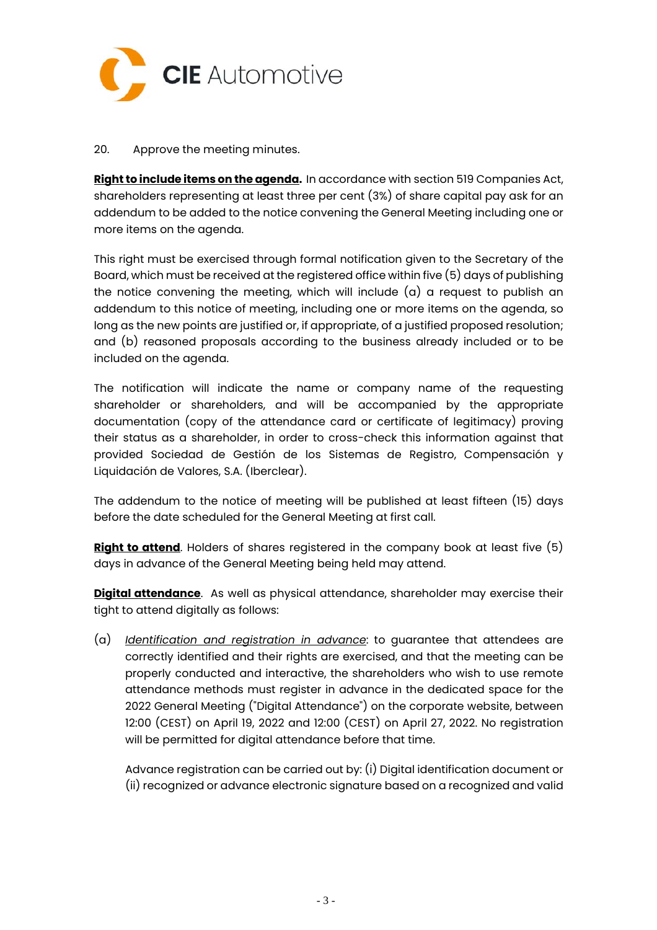

## 20. Approve the meeting minutes.

**Right to include items on the agenda.** In accordance with section 519 Companies Act, shareholders representing at least three per cent (3%) of share capital pay ask for an addendum to be added to the notice convening the General Meeting including one or more items on the agenda.

This right must be exercised through formal notification given to the Secretary of the Board, which must be received at the registered office within five (5) days of publishing the notice convening the meeting, which will include (a) a request to publish an addendum to this notice of meeting, including one or more items on the agenda, so long as the new points are justified or, if appropriate, of a justified proposed resolution; and (b) reasoned proposals according to the business already included or to be included on the agenda.

The notification will indicate the name or company name of the requesting shareholder or shareholders, and will be accompanied by the appropriate documentation (copy of the attendance card or certificate of legitimacy) proving their status as a shareholder, in order to cross-check this information against that provided Sociedad de Gestión de los Sistemas de Registro, Compensación y Liquidación de Valores, S.A. (Iberclear).

The addendum to the notice of meeting will be published at least fifteen (15) days before the date scheduled for the General Meeting at first call.

**Right to attend**. Holders of shares registered in the company book at least five (5) days in advance of the General Meeting being held may attend.

**Digital attendance**. As well as physical attendance, shareholder may exercise their tight to attend digitally as follows:

(a) *Identification and registration in advance*: to guarantee that attendees are correctly identified and their rights are exercised, and that the meeting can be properly conducted and interactive, the shareholders who wish to use remote attendance methods must register in advance in the dedicated space for the 2022 General Meeting ("Digital Attendance") on the corporate website, between 12:00 (CEST) on April 19, 2022 and 12:00 (CEST) on April 27, 2022. No registration will be permitted for digital attendance before that time.

Advance registration can be carried out by: (i) Digital identification document or (ii) recognized or advance electronic signature based on a recognized and valid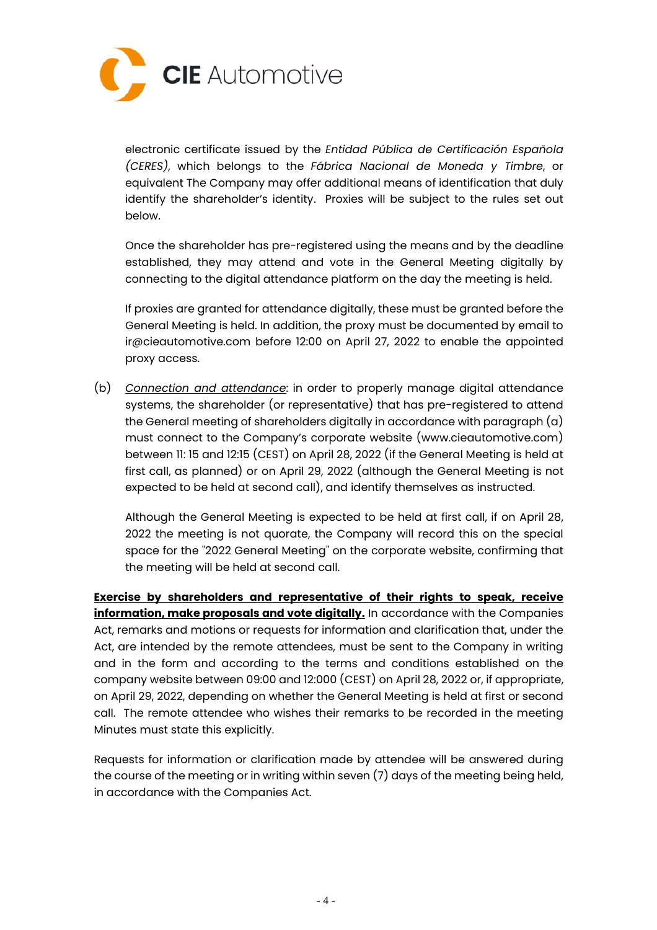

electronic certificate issued by the *Entidad Pública de Certificación Española (CERES)*, which belongs to the *Fábrica Nacional de Moneda y Timbre*, or equivalent The Company may offer additional means of identification that duly identify the shareholder's identity. Proxies will be subject to the rules set out below.

Once the shareholder has pre-registered using the means and by the deadline established, they may attend and vote in the General Meeting digitally by connecting to the digital attendance platform on the day the meeting is held.

If proxies are granted for attendance digitally, these must be granted before the General Meeting is held. In addition, the proxy must be documented by email to ir@cieautomotive.com before 12:00 on April 27, 2022 to enable the appointed proxy access.

(b) *Connection and attendance*: in order to properly manage digital attendance systems, the shareholder (or representative) that has pre-registered to attend the General meeting of shareholders digitally in accordance with paragraph (a) must connect to the Company's corporate website (www.cieautomotive.com) between 11: 15 and 12:15 (CEST) on April 28, 2022 (if the General Meeting is held at first call, as planned) or on April 29, 2022 (although the General Meeting is not expected to be held at second call), and identify themselves as instructed.

Although the General Meeting is expected to be held at first call, if on April 28, 2022 the meeting is not quorate, the Company will record this on the special space for the "2022 General Meeting" on the corporate website, confirming that the meeting will be held at second call.

**Exercise by shareholders and representative of their rights to speak, receive information, make proposals and vote digitally.** In accordance with the Companies Act, remarks and motions or requests for information and clarification that, under the Act, are intended by the remote attendees, must be sent to the Company in writing and in the form and according to the terms and conditions established on the company website between 09:00 and 12:000 (CEST) on April 28, 2022 or, if appropriate, on April 29, 2022, depending on whether the General Meeting is held at first or second call. The remote attendee who wishes their remarks to be recorded in the meeting Minutes must state this explicitly.

Requests for information or clarification made by attendee will be answered during the course of the meeting or in writing within seven (7) days of the meeting being held, in accordance with the Companies Act.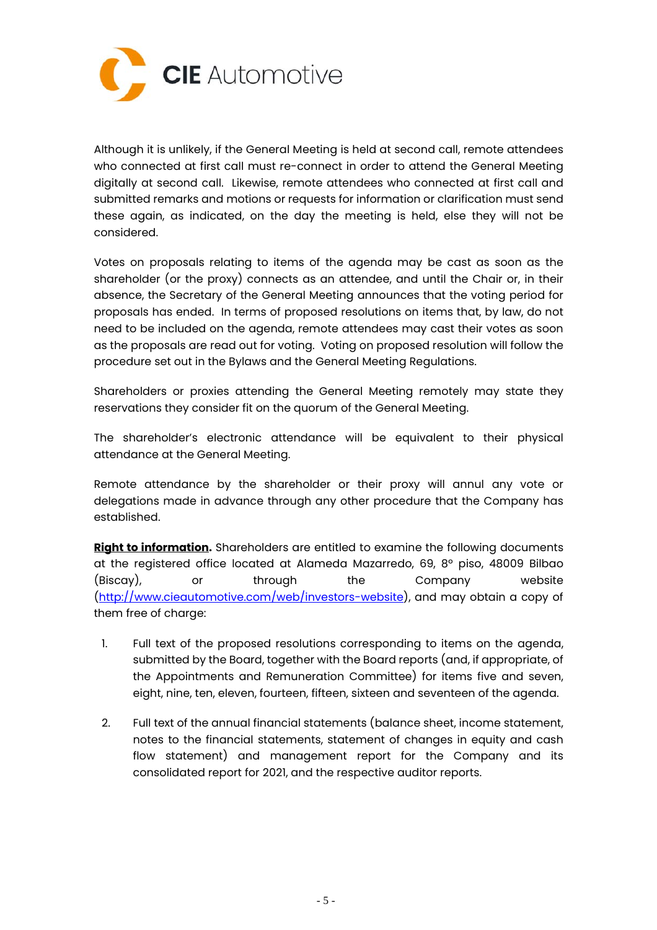

Although it is unlikely, if the General Meeting is held at second call, remote attendees who connected at first call must re-connect in order to attend the General Meeting digitally at second call. Likewise, remote attendees who connected at first call and submitted remarks and motions or requests for information or clarification must send these again, as indicated, on the day the meeting is held, else they will not be considered.

Votes on proposals relating to items of the agenda may be cast as soon as the shareholder (or the proxy) connects as an attendee, and until the Chair or, in their absence, the Secretary of the General Meeting announces that the voting period for proposals has ended. In terms of proposed resolutions on items that, by law, do not need to be included on the agenda, remote attendees may cast their votes as soon as the proposals are read out for voting. Voting on proposed resolution will follow the procedure set out in the Bylaws and the General Meeting Regulations.

Shareholders or proxies attending the General Meeting remotely may state they reservations they consider fit on the quorum of the General Meeting.

The shareholder's electronic attendance will be equivalent to their physical attendance at the General Meeting.

Remote attendance by the shareholder or their proxy will annul any vote or delegations made in advance through any other procedure that the Company has established.

**Right to information.** Shareholders are entitled to examine the following documents at the registered office located at Alameda Mazarredo, 69, 8º piso, 48009 Bilbao (Biscay), or through the Company website (http://www.cieautomotive.com/web/investors-website), and may obtain a copy of them free of charge:

- 1. Full text of the proposed resolutions corresponding to items on the agenda, submitted by the Board, together with the Board reports (and, if appropriate, of the Appointments and Remuneration Committee) for items five and seven, eight, nine, ten, eleven, fourteen, fifteen, sixteen and seventeen of the agenda.
- 2. Full text of the annual financial statements (balance sheet, income statement, notes to the financial statements, statement of changes in equity and cash flow statement) and management report for the Company and its consolidated report for 2021, and the respective auditor reports.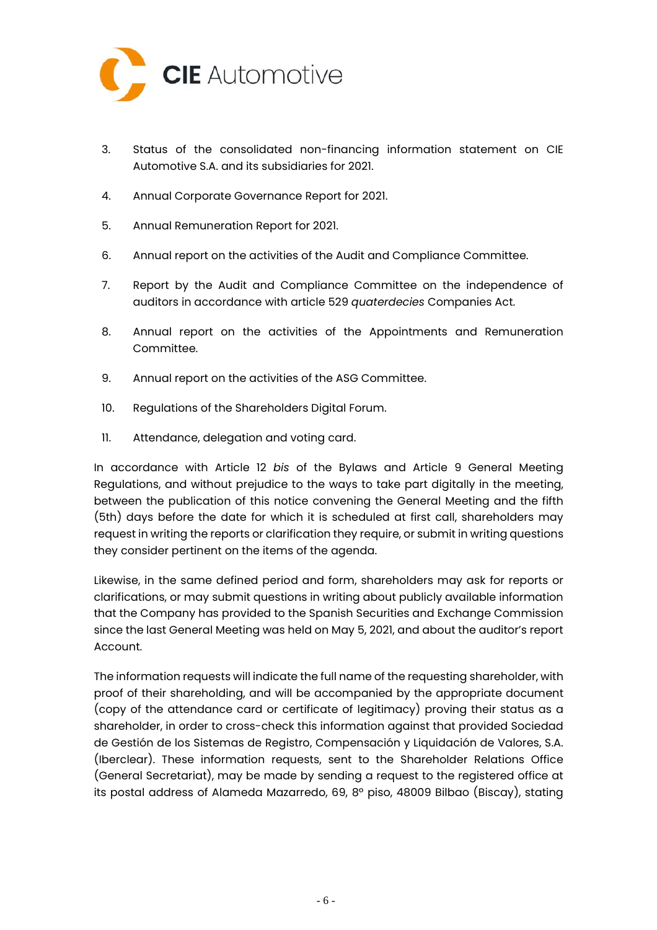

- 3. Status of the consolidated non-financing information statement on CIE Automotive S.A. and its subsidiaries for 2021.
- 4. Annual Corporate Governance Report for 2021.
- 5. Annual Remuneration Report for 2021.
- 6. Annual report on the activities of the Audit and Compliance Committee.
- 7. Report by the Audit and Compliance Committee on the independence of auditors in accordance with article 529 *quaterdecies* Companies Act.
- 8. Annual report on the activities of the Appointments and Remuneration Committee.
- 9. Annual report on the activities of the ASG Committee.
- 10. Regulations of the Shareholders Digital Forum.
- 11. Attendance, delegation and voting card.

In accordance with Article 12 *bis* of the Bylaws and Article 9 General Meeting Regulations, and without prejudice to the ways to take part digitally in the meeting, between the publication of this notice convening the General Meeting and the fifth (5th) days before the date for which it is scheduled at first call, shareholders may request in writing the reports or clarification they require, or submit in writing questions they consider pertinent on the items of the agenda.

Likewise, in the same defined period and form, shareholders may ask for reports or clarifications, or may submit questions in writing about publicly available information that the Company has provided to the Spanish Securities and Exchange Commission since the last General Meeting was held on May 5, 2021, and about the auditor's report Account.

The information requests will indicate the full name of the requesting shareholder, with proof of their shareholding, and will be accompanied by the appropriate document (copy of the attendance card or certificate of legitimacy) proving their status as a shareholder, in order to cross-check this information against that provided Sociedad de Gestión de los Sistemas de Registro, Compensación y Liquidación de Valores, S.A. (Iberclear). These information requests, sent to the Shareholder Relations Office (General Secretariat), may be made by sending a request to the registered office at its postal address of Alameda Mazarredo, 69, 8º piso, 48009 Bilbao (Biscay), stating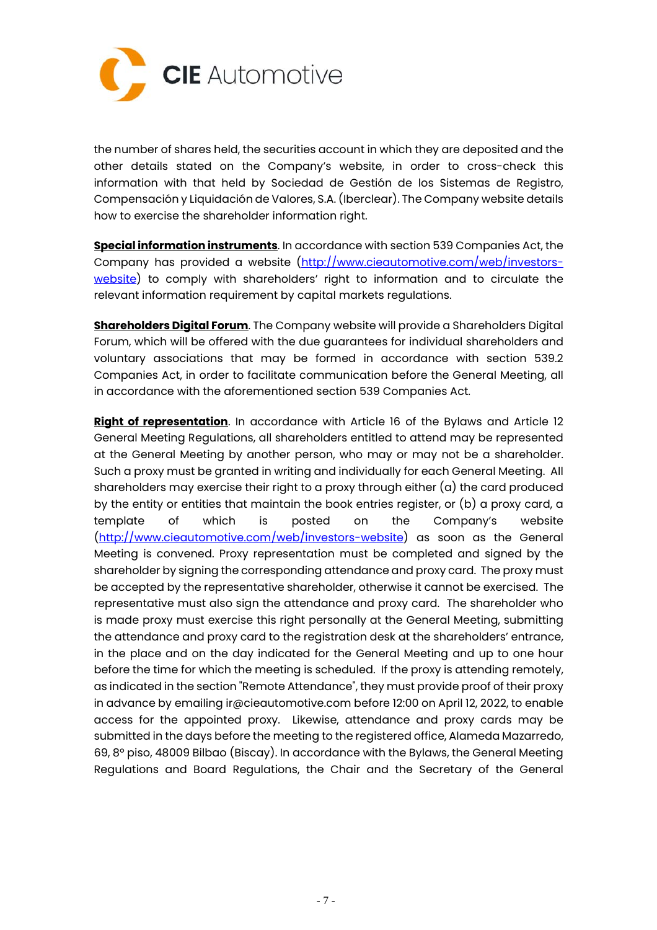

the number of shares held, the securities account in which they are deposited and the other details stated on the Company's website, in order to cross-check this information with that held by Sociedad de Gestión de los Sistemas de Registro, Compensación y Liquidación de Valores, S.A. (Iberclear). The Company website details how to exercise the shareholder information right.

**Special information instruments**. In accordance with section 539 Companies Act, the Company has provided a website (http://www.cieautomotive.com/web/investorswebsite) to comply with shareholders' right to information and to circulate the relevant information requirement by capital markets regulations.

**Shareholders Digital Forum**. The Company website will provide a Shareholders Digital Forum, which will be offered with the due guarantees for individual shareholders and voluntary associations that may be formed in accordance with section 539.2 Companies Act, in order to facilitate communication before the General Meeting, all in accordance with the aforementioned section 539 Companies Act.

**Right of representation**. In accordance with Article 16 of the Bylaws and Article 12 General Meeting Regulations, all shareholders entitled to attend may be represented at the General Meeting by another person, who may or may not be a shareholder. Such a proxy must be granted in writing and individually for each General Meeting. All shareholders may exercise their right to a proxy through either (a) the card produced by the entity or entities that maintain the book entries register, or (b) a proxy card, a template of which is posted on the Company's website (http://www.cieautomotive.com/web/investors-website) as soon as the General Meeting is convened. Proxy representation must be completed and signed by the shareholder by signing the corresponding attendance and proxy card. The proxy must be accepted by the representative shareholder, otherwise it cannot be exercised. The representative must also sign the attendance and proxy card. The shareholder who is made proxy must exercise this right personally at the General Meeting, submitting the attendance and proxy card to the registration desk at the shareholders' entrance, in the place and on the day indicated for the General Meeting and up to one hour before the time for which the meeting is scheduled. If the proxy is attending remotely, as indicated in the section "Remote Attendance", they must provide proof of their proxy in advance by emailing ir@cieautomotive.com before 12:00 on April 12, 2022, to enable access for the appointed proxy. Likewise, attendance and proxy cards may be submitted in the days before the meeting to the registered office, Alameda Mazarredo, 69, 8º piso, 48009 Bilbao (Biscay). In accordance with the Bylaws, the General Meeting Regulations and Board Regulations, the Chair and the Secretary of the General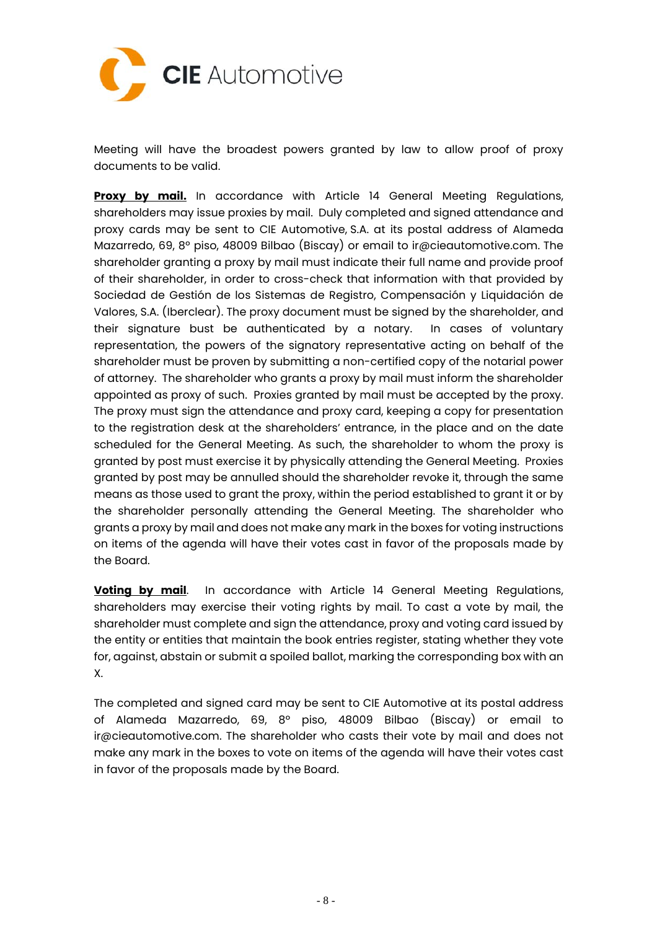

Meeting will have the broadest powers granted by law to allow proof of proxy documents to be valid.

**Proxy by mail.** In accordance with Article 14 General Meeting Regulations, shareholders may issue proxies by mail. Duly completed and signed attendance and proxy cards may be sent to CIE Automotive, S.A. at its postal address of Alameda Mazarredo, 69, 8º piso, 48009 Bilbao (Biscay) or email to ir@cieautomotive.com. The shareholder granting a proxy by mail must indicate their full name and provide proof of their shareholder, in order to cross-check that information with that provided by Sociedad de Gestión de los Sistemas de Registro, Compensación y Liquidación de Valores, S.A. (Iberclear). The proxy document must be signed by the shareholder, and their signature bust be authenticated by a notary. In cases of voluntary representation, the powers of the signatory representative acting on behalf of the shareholder must be proven by submitting a non-certified copy of the notarial power of attorney. The shareholder who grants a proxy by mail must inform the shareholder appointed as proxy of such. Proxies granted by mail must be accepted by the proxy. The proxy must sign the attendance and proxy card, keeping a copy for presentation to the registration desk at the shareholders' entrance, in the place and on the date scheduled for the General Meeting. As such, the shareholder to whom the proxy is granted by post must exercise it by physically attending the General Meeting. Proxies granted by post may be annulled should the shareholder revoke it, through the same means as those used to grant the proxy, within the period established to grant it or by the shareholder personally attending the General Meeting. The shareholder who grants a proxy by mail and does not make any mark in the boxes for voting instructions on items of the agenda will have their votes cast in favor of the proposals made by the Board.

**Voting by mail.** In accordance with Article 14 General Meeting Regulations, shareholders may exercise their voting rights by mail. To cast a vote by mail, the shareholder must complete and sign the attendance, proxy and voting card issued by the entity or entities that maintain the book entries register, stating whether they vote for, against, abstain or submit a spoiled ballot, marking the corresponding box with an X.

The completed and signed card may be sent to CIE Automotive at its postal address of Alameda Mazarredo, 69, 8º piso, 48009 Bilbao (Biscay) or email to ir@cieautomotive.com. The shareholder who casts their vote by mail and does not make any mark in the boxes to vote on items of the agenda will have their votes cast in favor of the proposals made by the Board.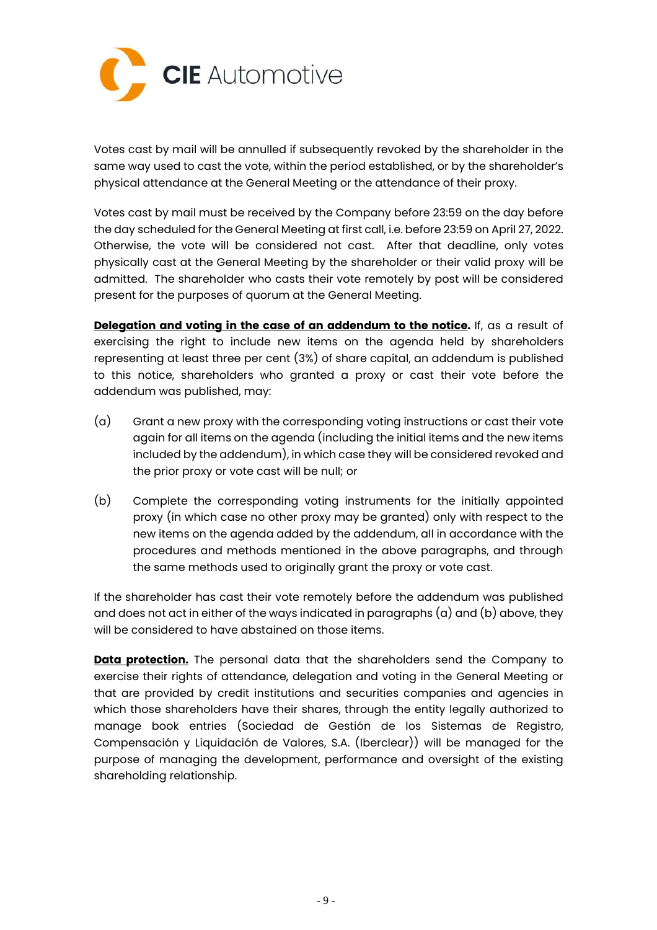

Votes cast by mail will be annulled if subsequently revoked by the shareholder in the same way used to cast the vote, within the period established, or by the shareholder's physical attendance at the General Meeting or the attendance of their proxy.

Votes cast by mail must be received by the Company before 23:59 on the day before the day scheduled for the General Meeting at first call, i.e. before 23:59 on April 27, 2022. Otherwise, the vote will be considered not cast. After that deadline, only votes physically cast at the General Meeting by the shareholder or their valid proxy will be admitted. The shareholder who casts their vote remotely by post will be considered present for the purposes of quorum at the General Meeting.

**Delegation and voting in the case of an addendum to the notice.** If, as a result of exercising the right to include new items on the agenda held by shareholders representing at least three per cent (3%) of share capital, an addendum is published to this notice, shareholders who granted a proxy or cast their vote before the addendum was published, may:

- (a) Grant a new proxy with the corresponding voting instructions or cast their vote again for all items on the agenda (including the initial items and the new items included by the addendum), in which case they will be considered revoked and the prior proxy or vote cast will be null; or
- (b) Complete the corresponding voting instruments for the initially appointed proxy (in which case no other proxy may be granted) only with respect to the new items on the agenda added by the addendum, all in accordance with the procedures and methods mentioned in the above paragraphs, and through the same methods used to originally grant the proxy or vote cast.

If the shareholder has cast their vote remotely before the addendum was published and does not act in either of the ways indicated in paragraphs  $(a)$  and  $(b)$  above, they will be considered to have abstained on those items.

**Data protection.** The personal data that the shareholders send the Company to exercise their rights of attendance, delegation and voting in the General Meeting or that are provided by credit institutions and securities companies and agencies in which those shareholders have their shares, through the entity legally authorized to manage book entries (Sociedad de Gestión de los Sistemas de Registro, Compensación y Liquidación de Valores, S.A. (Iberclear)) will be managed for the purpose of managing the development, performance and oversight of the existing shareholding relationship.